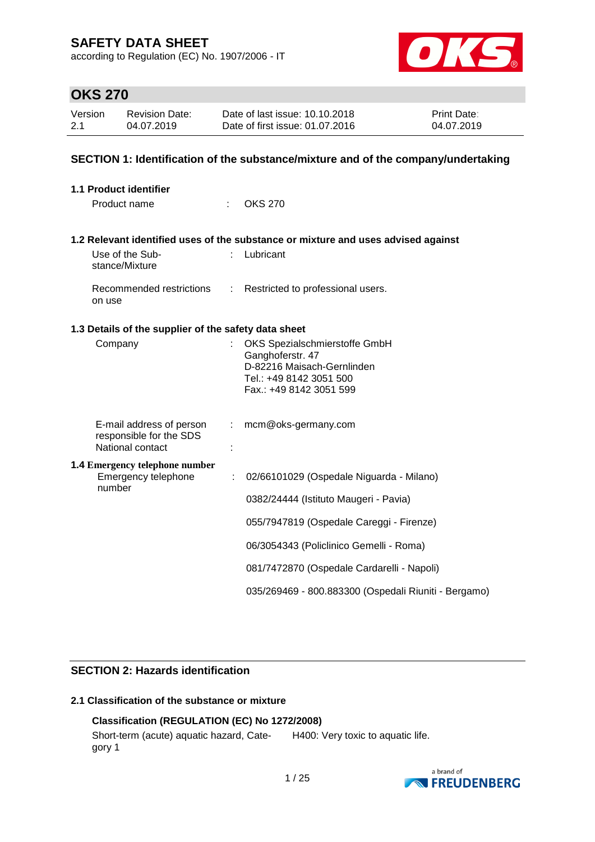according to Regulation (EC) No. 1907/2006 - IT



## **OKS 270**

| Version | Revision Date: | Date of last issue: 10.10.2018  | <b>Print Date:</b> |
|---------|----------------|---------------------------------|--------------------|
| 2.1     | 04.07.2019     | Date of first issue: 01.07.2016 | 04.07.2019         |

### **SECTION 1: Identification of the substance/mixture and of the company/undertaking**

| <b>1.1 Product identifier</b>                                |                           |                                                                                   |
|--------------------------------------------------------------|---------------------------|-----------------------------------------------------------------------------------|
| Product name                                                 |                           | <b>OKS 270</b>                                                                    |
|                                                              |                           | 1.2 Relevant identified uses of the substance or mixture and uses advised against |
| Use of the Sub-<br>stance/Mixture                            |                           | Lubricant                                                                         |
| on use                                                       |                           | Recommended restrictions : Restricted to professional users.                      |
| 1.3 Details of the supplier of the safety data sheet         |                           |                                                                                   |
| Company                                                      |                           | OKS Spezialschmierstoffe GmbH                                                     |
|                                                              |                           | Ganghoferstr. 47<br>D-82216 Maisach-Gernlinden                                    |
|                                                              |                           | Tel.: +49 8142 3051 500                                                           |
|                                                              |                           | Fax.: +49 8142 3051 599                                                           |
| E-mail address of person                                     | $\mathbb{R}^{\mathbb{Z}}$ | mcm@oks-germany.com                                                               |
| responsible for the SDS<br>National contact                  |                           |                                                                                   |
| <b>1.4 Emergency telephone number</b><br>Emergency telephone | ÷                         | 02/66101029 (Ospedale Niguarda - Milano)                                          |
| number                                                       |                           |                                                                                   |
|                                                              |                           | 0382/24444 (Istituto Maugeri - Pavia)                                             |
|                                                              |                           | 055/7947819 (Ospedale Careggi - Firenze)                                          |
|                                                              |                           | 06/3054343 (Policlinico Gemelli - Roma)                                           |
|                                                              |                           | 081/7472870 (Ospedale Cardarelli - Napoli)                                        |
|                                                              |                           | 035/269469 - 800.883300 (Ospedali Riuniti - Bergamo)                              |

### **SECTION 2: Hazards identification**

### **2.1 Classification of the substance or mixture**

### **Classification (REGULATION (EC) No 1272/2008)**

Short-term (acute) aquatic hazard, Category 1 H400: Very toxic to aquatic life.

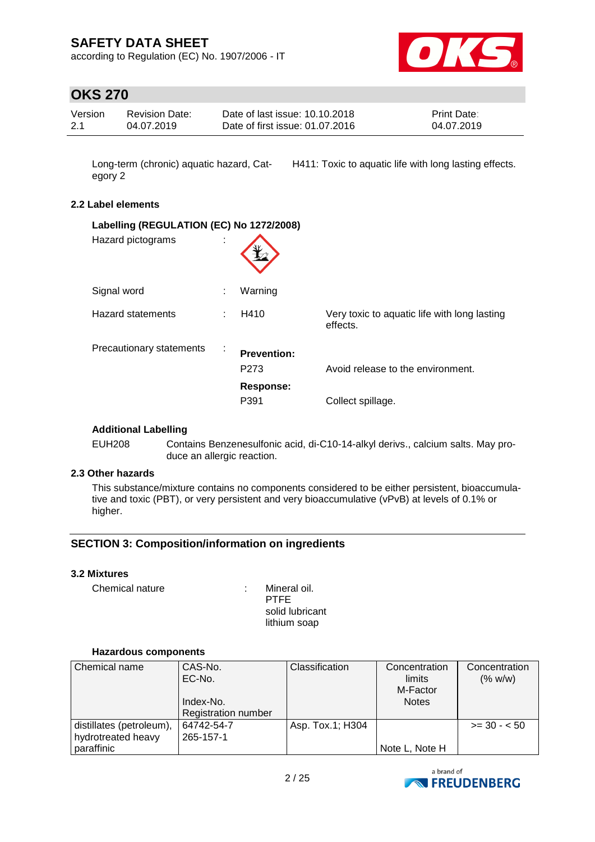according to Regulation (EC) No. 1907/2006 - IT



## **OKS 270**

|  | Date of first issue: 01.07.2016<br>2.1<br>04.07.2019<br>04.07.2019 | Version<br>Date of last issue: 10.10.2018<br><b>Print Date:</b><br><b>Revision Date:</b> |
|--|--------------------------------------------------------------------|------------------------------------------------------------------------------------------|
|--|--------------------------------------------------------------------|------------------------------------------------------------------------------------------|

Long-term (chronic) aquatic hazard, Category 2 H411: Toxic to aquatic life with long lasting effects.

#### **2.2 Label elements**

| Labelling (REGULATION (EC) No 1272/2008)<br>Hazard pictograms | $\mathbf{r}$ |                            |                                                          |
|---------------------------------------------------------------|--------------|----------------------------|----------------------------------------------------------|
| Signal word                                                   |              | Warning                    |                                                          |
| <b>Hazard statements</b>                                      |              | H410                       | Very toxic to aquatic life with long lasting<br>effects. |
| Precautionary statements                                      | $\sim$       | <b>Prevention:</b><br>P273 | Avoid release to the environment.                        |
|                                                               |              | <b>Response:</b><br>P391   | Collect spillage.                                        |

#### **Additional Labelling**

EUH208 Contains Benzenesulfonic acid, di-C10-14-alkyl derivs., calcium salts. May produce an allergic reaction.

### **2.3 Other hazards**

This substance/mixture contains no components considered to be either persistent, bioaccumulative and toxic (PBT), or very persistent and very bioaccumulative (vPvB) at levels of 0.1% or higher.

### **SECTION 3: Composition/information on ingredients**

#### **3.2 Mixtures**

Chemical nature : Mineral oil.

PTFE solid lubricant lithium soap

#### **Hazardous components**

| Chemical name            | CAS-No.                    | Classification   | Concentration  | Concentration |
|--------------------------|----------------------------|------------------|----------------|---------------|
|                          | EC-No.                     |                  | limits         | (% w/w)       |
|                          |                            |                  | M-Factor       |               |
|                          | Index-No.                  |                  | <b>Notes</b>   |               |
|                          | <b>Registration number</b> |                  |                |               |
| distillates (petroleum), | 64742-54-7                 | Asp. Tox.1; H304 |                | $>= 30 - 50$  |
| hydrotreated heavy       | 265-157-1                  |                  |                |               |
| paraffinic               |                            |                  | Note L, Note H |               |

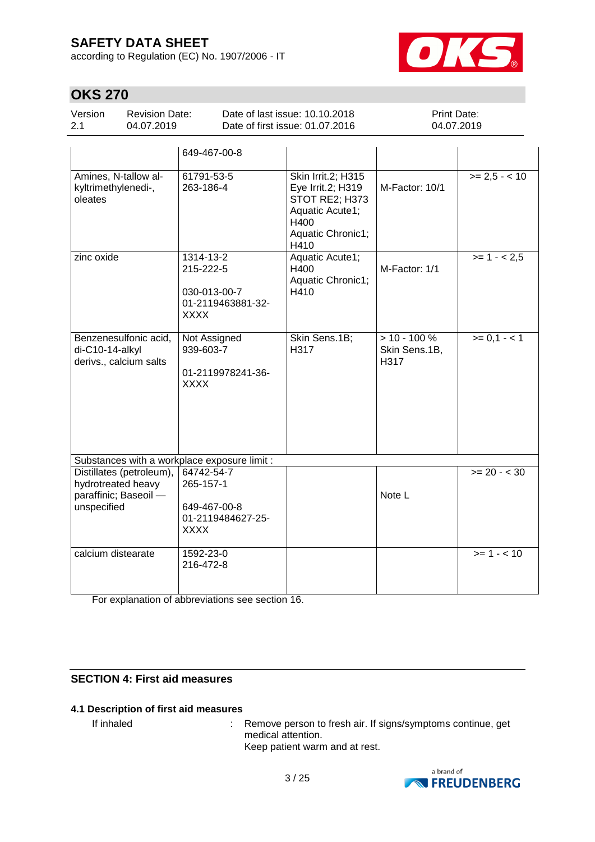according to Regulation (EC) No. 1907/2006 - IT



# **OKS 270**

| Version | <b>Revision Date:</b> | Date of last issue: 10.10.2018  | <b>Print Date:</b> |
|---------|-----------------------|---------------------------------|--------------------|
| 2.1     | 04.07.2019            | Date of first issue: 01.07.2016 | 04.07.2019         |

|                                                                                        | 649-467-00-8                                                                |                                                                                                                   |                                         |                 |
|----------------------------------------------------------------------------------------|-----------------------------------------------------------------------------|-------------------------------------------------------------------------------------------------------------------|-----------------------------------------|-----------------|
| Amines, N-tallow al-<br>kyltrimethylenedi-,<br>oleates                                 | 61791-53-5<br>263-186-4                                                     | Skin Irrit.2; H315<br>Eye Irrit.2; H319<br>STOT RE2; H373<br>Aquatic Acute1;<br>H400<br>Aquatic Chronic1;<br>H410 | M-Factor: 10/1                          | $>= 2,5 - < 10$ |
| zinc oxide                                                                             | 1314-13-2<br>215-222-5<br>030-013-00-7<br>01-2119463881-32-<br><b>XXXX</b>  | Aquatic Acute1;<br>H400<br>Aquatic Chronic1;<br>H410                                                              | M-Factor: 1/1                           | $>= 1 - 2.5$    |
| Benzenesulfonic acid,<br>di-C10-14-alkyl<br>derivs., calcium salts                     | Not Assigned<br>939-603-7<br>01-2119978241-36-<br><b>XXXX</b>               | Skin Sens.1B;<br>H317                                                                                             | $> 10 - 100 %$<br>Skin Sens.1B,<br>H317 | $>= 0,1 - 1$    |
| Substances with a workplace exposure limit :                                           |                                                                             |                                                                                                                   |                                         |                 |
| Distillates (petroleum),<br>hydrotreated heavy<br>paraffinic; Baseoil -<br>unspecified | 64742-54-7<br>265-157-1<br>649-467-00-8<br>01-2119484627-25-<br><b>XXXX</b> |                                                                                                                   | Note L                                  | $>= 20 - 30$    |
| calcium distearate                                                                     | 1592-23-0<br>216-472-8                                                      |                                                                                                                   |                                         | $>= 1 - 10$     |

For explanation of abbreviations see section 16.

### **SECTION 4: First aid measures**

### **4.1 Description of first aid measures**

If inhaled : Remove person to fresh air. If signs/symptoms continue, get medical attention. Keep patient warm and at rest.

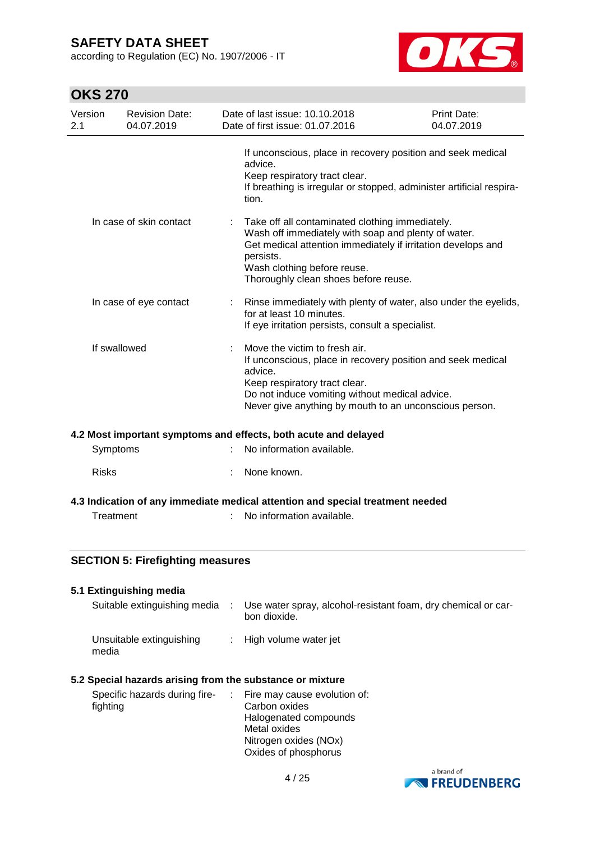according to Regulation (EC) No. 1907/2006 - IT



# **OKS 270**

| Version<br><b>Revision Date:</b><br>04.07.2019<br>2.1 |                        | Date of last issue: 10.10.2018<br>Date of first issue: 01.07.2016 | Print Date:<br>04.07.2019                                                                                                                                                                                                                     |                                                                                                                                     |
|-------------------------------------------------------|------------------------|-------------------------------------------------------------------|-----------------------------------------------------------------------------------------------------------------------------------------------------------------------------------------------------------------------------------------------|-------------------------------------------------------------------------------------------------------------------------------------|
|                                                       |                        | advice.<br>Keep respiratory tract clear.<br>tion.                 |                                                                                                                                                                                                                                               | If unconscious, place in recovery position and seek medical<br>If breathing is irregular or stopped, administer artificial respira- |
| In case of skin contact                               |                        | persists.                                                         | Take off all contaminated clothing immediately.<br>Wash off immediately with soap and plenty of water.<br>Get medical attention immediately if irritation develops and<br>Wash clothing before reuse.<br>Thoroughly clean shoes before reuse. |                                                                                                                                     |
|                                                       | In case of eye contact | for at least 10 minutes.                                          | If eye irritation persists, consult a specialist.                                                                                                                                                                                             | Rinse immediately with plenty of water, also under the eyelids,                                                                     |
| If swallowed                                          |                        | advice.                                                           | Move the victim to fresh air.<br>If unconscious, place in recovery position and seek medical<br>Keep respiratory tract clear.<br>Do not induce vomiting without medical advice.<br>Never give anything by mouth to an unconscious person.     |                                                                                                                                     |

#### **4.2 Most important symptoms and effects, both acute and delayed**

| Symptoms     | : No information available. |  |
|--------------|-----------------------------|--|
| <b>Risks</b> | : None known.               |  |
| .            |                             |  |

### **4.3 Indication of any immediate medical attention and special treatment needed**

Treatment : No information available.

### **SECTION 5: Firefighting measures**

| 5.1 Extinguishing media           |                                                                               |
|-----------------------------------|-------------------------------------------------------------------------------|
| Suitable extinguishing media      | Use water spray, alcohol-resistant foam, dry chemical or car-<br>bon dioxide. |
| Unsuitable extinguishing<br>media | : High volume water jet                                                       |

#### **5.2 Special hazards arising from the substance or mixture**

| Specific hazards during fire- | $\therefore$ Fire may cause evolution of: |
|-------------------------------|-------------------------------------------|
| fighting                      | Carbon oxides                             |
|                               | Halogenated compounds                     |
|                               | Metal oxides                              |
|                               | Nitrogen oxides (NOx)                     |
|                               | Oxides of phosphorus                      |

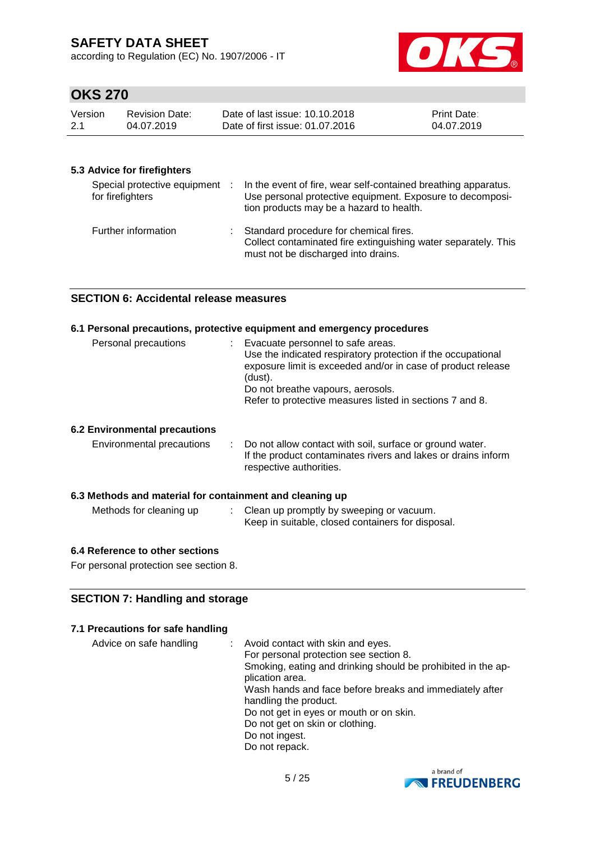according to Regulation (EC) No. 1907/2006 - IT



## **OKS 270**

| Version | Revision Date: | Date of last issue: 10.10.2018  | <b>Print Date:</b> |
|---------|----------------|---------------------------------|--------------------|
| -2.1    | 04.07.2019     | Date of first issue: 01.07.2016 | 04.07.2019         |

### **5.3 Advice for firefighters**

| Special protective equipment :<br>for firefighters | In the event of fire, wear self-contained breathing apparatus.<br>Use personal protective equipment. Exposure to decomposi-<br>tion products may be a hazard to health. |
|----------------------------------------------------|-------------------------------------------------------------------------------------------------------------------------------------------------------------------------|
| Further information                                | Standard procedure for chemical fires.<br>Collect contaminated fire extinguishing water separately. This<br>must not be discharged into drains.                         |

### **SECTION 6: Accidental release measures**

#### **6.1 Personal precautions, protective equipment and emergency procedures**

| Personal precautions                 | : Evacuate personnel to safe areas.<br>Use the indicated respiratory protection if the occupational<br>exposure limit is exceeded and/or in case of product release<br>(dust).<br>Do not breathe vapours, aerosols.<br>Refer to protective measures listed in sections 7 and 8. |
|--------------------------------------|---------------------------------------------------------------------------------------------------------------------------------------------------------------------------------------------------------------------------------------------------------------------------------|
| <b>6.2 Environmental precautions</b> |                                                                                                                                                                                                                                                                                 |
| Environmental precautions            | : Do not allow contact with soil, surface or ground water.<br>If the product contaminates rivers and lakes or drains inform<br>respective authorities.                                                                                                                          |

#### **6.3 Methods and material for containment and cleaning up**

| Methods for cleaning up |  | : Clean up promptly by sweeping or vacuum.<br>Keep in suitable, closed containers for disposal. |
|-------------------------|--|-------------------------------------------------------------------------------------------------|
|-------------------------|--|-------------------------------------------------------------------------------------------------|

#### **6.4 Reference to other sections**

For personal protection see section 8.

#### **SECTION 7: Handling and storage**

### **7.1 Precautions for safe handling**

Advice on safe handling : Avoid contact with skin and eyes. For personal protection see section 8. Smoking, eating and drinking should be prohibited in the application area. Wash hands and face before breaks and immediately after handling the product. Do not get in eyes or mouth or on skin. Do not get on skin or clothing. Do not ingest. Do not repack.

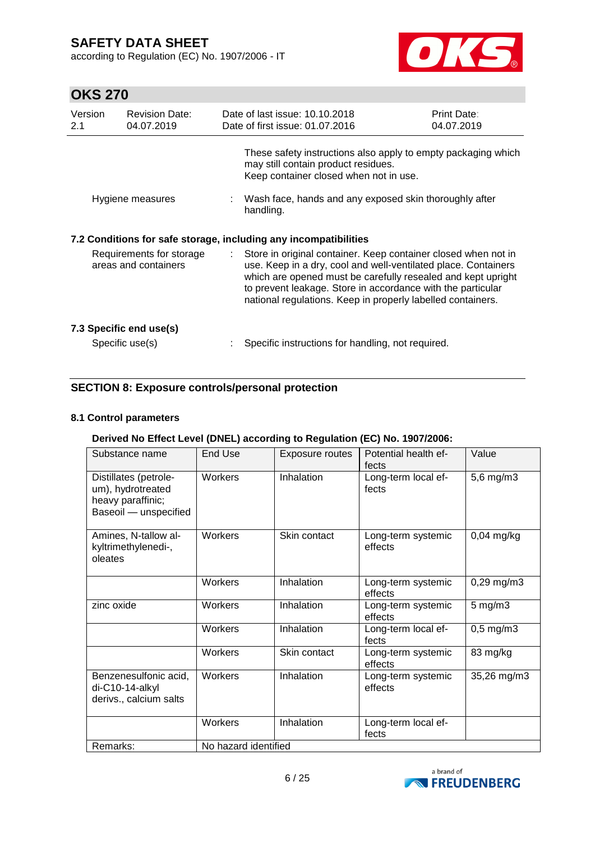according to Regulation (EC) No. 1907/2006 - IT



# **OKS 270**

| Version<br>2.1                                   | <b>Revision Date:</b><br>04.07.2019        |    | Date of last issue: 10.10.2018<br>Date of first issue: 01.07.2016                                                                                                                                                                                                                                                              | <b>Print Date:</b><br>04.07.2019 |
|--------------------------------------------------|--------------------------------------------|----|--------------------------------------------------------------------------------------------------------------------------------------------------------------------------------------------------------------------------------------------------------------------------------------------------------------------------------|----------------------------------|
|                                                  |                                            |    | These safety instructions also apply to empty packaging which<br>may still contain product residues.<br>Keep container closed when not in use.                                                                                                                                                                                 |                                  |
| Hygiene measures                                 |                                            |    | Wash face, hands and any exposed skin thoroughly after<br>handling.                                                                                                                                                                                                                                                            |                                  |
|                                                  |                                            |    | 7.2 Conditions for safe storage, including any incompatibilities                                                                                                                                                                                                                                                               |                                  |
| Requirements for storage<br>areas and containers |                                            | t. | Store in original container. Keep container closed when not in<br>use. Keep in a dry, cool and well-ventilated place. Containers<br>which are opened must be carefully resealed and kept upright<br>to prevent leakage. Store in accordance with the particular<br>national regulations. Keep in properly labelled containers. |                                  |
|                                                  | 7.3 Specific end use(s)<br>Specific use(s) |    | Specific instructions for handling, not required.                                                                                                                                                                                                                                                                              |                                  |
|                                                  |                                            |    |                                                                                                                                                                                                                                                                                                                                |                                  |

### **SECTION 8: Exposure controls/personal protection**

### **8.1 Control parameters**

### **Derived No Effect Level (DNEL) according to Regulation (EC) No. 1907/2006:**

| Substance name                                                                           | <b>End Use</b>       | <b>Exposure routes</b> | Potential health ef-<br>fects | Value              |
|------------------------------------------------------------------------------------------|----------------------|------------------------|-------------------------------|--------------------|
| Distillates (petrole-<br>um), hydrotreated<br>heavy paraffinic;<br>Baseoil - unspecified | Workers              | Inhalation             | Long-term local ef-<br>fects  | 5,6 mg/m3          |
| Amines, N-tallow al-<br>kyltrimethylenedi-,<br>oleates                                   | Workers              | Skin contact           | Long-term systemic<br>effects | $0,04$ mg/kg       |
|                                                                                          | Workers              | Inhalation             | Long-term systemic<br>effects | $0,29$ mg/m $3$    |
| zinc oxide                                                                               | Workers              | Inhalation             | Long-term systemic<br>effects | $5 \text{ mg/m}$ 3 |
|                                                                                          | Workers              | Inhalation             | Long-term local ef-<br>fects  | $0,5$ mg/m $3$     |
|                                                                                          | Workers              | Skin contact           | Long-term systemic<br>effects | 83 mg/kg           |
| Benzenesulfonic acid,<br>di-C10-14-alkyl<br>derivs., calcium salts                       | Workers              | Inhalation             | Long-term systemic<br>effects | 35,26 mg/m3        |
|                                                                                          | Workers              | Inhalation             | Long-term local ef-<br>fects  |                    |
| Remarks:                                                                                 | No hazard identified |                        |                               |                    |

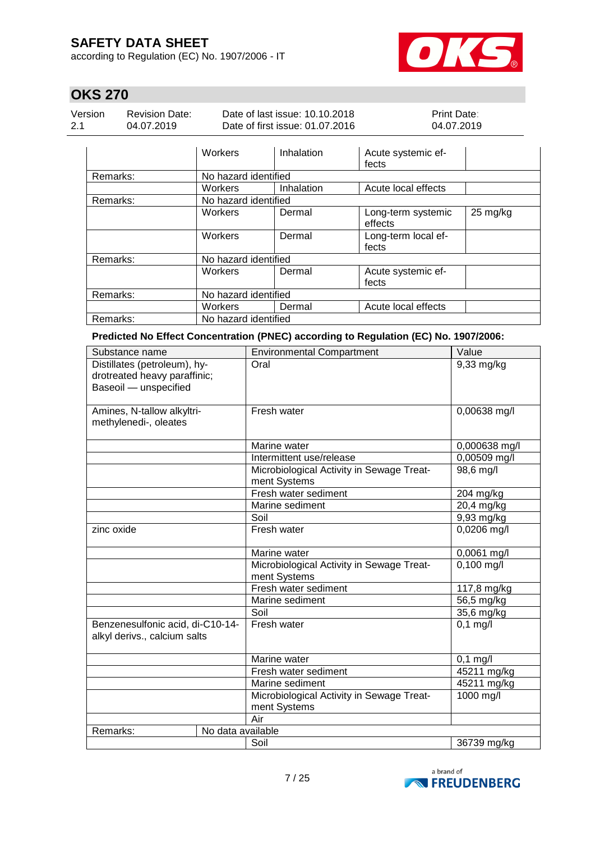according to Regulation (EC) No. 1907/2006 - IT



# **OKS 270**

| Version | <b>Revision Date:</b> | Date of last issue: 10.10.2018  | <b>Print Date:</b> |
|---------|-----------------------|---------------------------------|--------------------|
| 2.1     | 04.07.2019            | Date of first issue: 01.07.2016 | 04.07.2019         |

|          | <b>Workers</b>       | Inhalation | Acute systemic ef-<br>fects   |          |
|----------|----------------------|------------|-------------------------------|----------|
| Remarks: | No hazard identified |            |                               |          |
|          | Workers              | Inhalation | Acute local effects           |          |
| Remarks: | No hazard identified |            |                               |          |
|          | Workers              | Dermal     | Long-term systemic<br>effects | 25 mg/kg |
|          | Workers              | Dermal     | Long-term local ef-<br>fects  |          |
| Remarks: | No hazard identified |            |                               |          |
|          | Workers              | Dermal     | Acute systemic ef-<br>fects   |          |
| Remarks: | No hazard identified |            |                               |          |
|          | Workers              | Dermal     | Acute local effects           |          |
| Remarks: | No hazard identified |            |                               |          |

**Predicted No Effect Concentration (PNEC) according to Regulation (EC) No. 1907/2006:**

| Substance name                                                                        | <b>Environmental Compartment</b>                          | Value         |
|---------------------------------------------------------------------------------------|-----------------------------------------------------------|---------------|
| Distillates (petroleum), hy-<br>drotreated heavy paraffinic;<br>Baseoil - unspecified | Oral                                                      | 9,33 mg/kg    |
| Amines, N-tallow alkyltri-<br>methylenedi-, oleates                                   | Fresh water                                               | 0,00638 mg/l  |
|                                                                                       | Marine water                                              | 0,000638 mg/l |
|                                                                                       | Intermittent use/release                                  | 0,00509 mg/l  |
|                                                                                       | Microbiological Activity in Sewage Treat-<br>ment Systems | 98,6 mg/l     |
|                                                                                       | Fresh water sediment                                      | 204 mg/kg     |
|                                                                                       | Marine sediment                                           | 20,4 mg/kg    |
|                                                                                       | Soil                                                      | 9,93 mg/kg    |
| zinc oxide                                                                            | Fresh water                                               | 0,0206 mg/l   |
|                                                                                       | Marine water                                              | 0,0061 mg/l   |
|                                                                                       | Microbiological Activity in Sewage Treat-<br>ment Systems | $0,100$ mg/l  |
|                                                                                       | Fresh water sediment                                      | 117,8 mg/kg   |
|                                                                                       | Marine sediment                                           | 56,5 mg/kg    |
|                                                                                       | Soil                                                      | 35,6 mg/kg    |
| Benzenesulfonic acid, di-C10-14-<br>alkyl derivs., calcium salts                      | Fresh water                                               | $0,1$ mg/l    |
|                                                                                       | Marine water                                              | $0,1$ mg/l    |
|                                                                                       | Fresh water sediment                                      | 45211 mg/kg   |
|                                                                                       | Marine sediment                                           | 45211 mg/kg   |
|                                                                                       | Microbiological Activity in Sewage Treat-<br>ment Systems | 1000 mg/l     |
|                                                                                       | Air                                                       |               |
| No data available<br>Remarks:                                                         |                                                           |               |
|                                                                                       | Soil                                                      | 36739 mg/kg   |

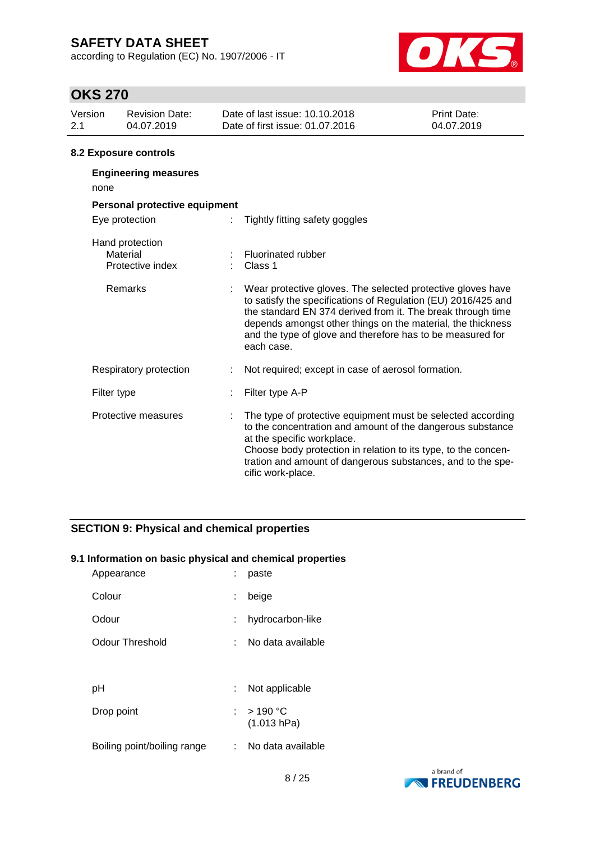according to Regulation (EC) No. 1907/2006 - IT



# **OKS 270**

| Version<br>2.1 | <b>Revision Date:</b><br>04.07.2019             |  | Date of last issue: 10.10.2018<br>Date of first issue: 01.07.2016                                                                                                                                                                                                                                                                      | Print Date:<br>04.07.2019 |  |  |  |
|----------------|-------------------------------------------------|--|----------------------------------------------------------------------------------------------------------------------------------------------------------------------------------------------------------------------------------------------------------------------------------------------------------------------------------------|---------------------------|--|--|--|
|                | <b>8.2 Exposure controls</b>                    |  |                                                                                                                                                                                                                                                                                                                                        |                           |  |  |  |
| none           | <b>Engineering measures</b>                     |  |                                                                                                                                                                                                                                                                                                                                        |                           |  |  |  |
|                | Personal protective equipment                   |  |                                                                                                                                                                                                                                                                                                                                        |                           |  |  |  |
|                | Eye protection                                  |  | Tightly fitting safety goggles                                                                                                                                                                                                                                                                                                         |                           |  |  |  |
|                | Hand protection<br>Material<br>Protective index |  | <b>Fluorinated rubber</b><br>Class 1                                                                                                                                                                                                                                                                                                   |                           |  |  |  |
|                | Remarks                                         |  | Wear protective gloves. The selected protective gloves have<br>to satisfy the specifications of Regulation (EU) 2016/425 and<br>the standard EN 374 derived from it. The break through time<br>depends amongst other things on the material, the thickness<br>and the type of glove and therefore has to be measured for<br>each case. |                           |  |  |  |
|                | Respiratory protection                          |  | Not required; except in case of aerosol formation.                                                                                                                                                                                                                                                                                     |                           |  |  |  |
| Filter type    |                                                 |  | Filter type A-P                                                                                                                                                                                                                                                                                                                        |                           |  |  |  |
|                | Protective measures                             |  | The type of protective equipment must be selected according<br>to the concentration and amount of the dangerous substance<br>at the specific workplace.<br>Choose body protection in relation to its type, to the concen-<br>tration and amount of dangerous substances, and to the spe-                                               |                           |  |  |  |

cific work-place.

### **SECTION 9: Physical and chemical properties**

### **9.1 Information on basic physical and chemical properties**

| Colour                                             |
|----------------------------------------------------|
| beige<br>÷.                                        |
| hydrocarbon-like<br>Odour<br>÷.                    |
| <b>Odour Threshold</b><br>No data available        |
|                                                    |
| Not applicable<br>рH<br>÷.                         |
| : $>190 °C$<br>Drop point<br>(1.013 hPa)           |
| Boiling point/boiling range<br>: No data available |

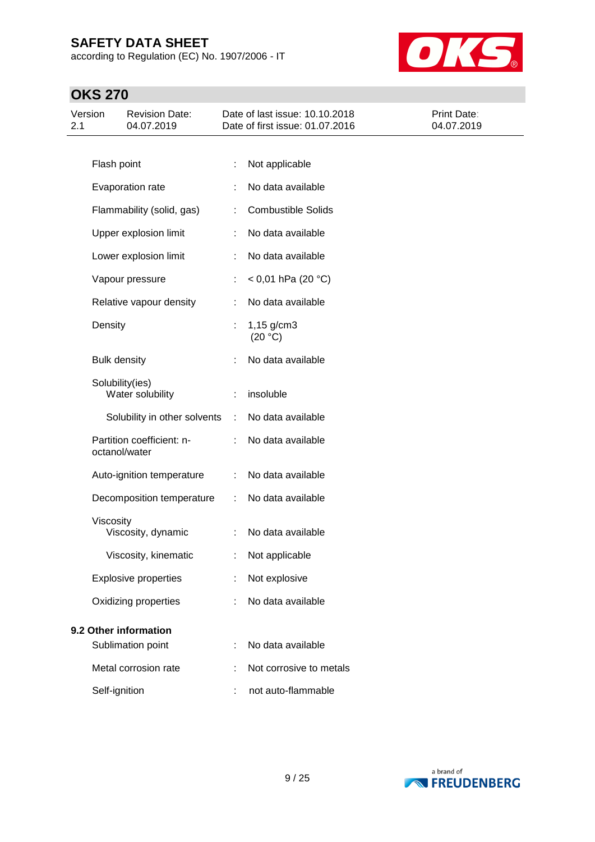according to Regulation (EC) No. 1907/2006 - IT



| Version<br>2.1 |                     | <b>Revision Date:</b><br>04.07.2019        |   | Date of last issue: 10.10.2018<br>Date of first issue: 01.07.2016 | <b>Print Date:</b><br>04.07.2019 |
|----------------|---------------------|--------------------------------------------|---|-------------------------------------------------------------------|----------------------------------|
|                |                     |                                            |   |                                                                   |                                  |
|                | Flash point         |                                            |   | Not applicable                                                    |                                  |
|                |                     | Evaporation rate                           |   | No data available                                                 |                                  |
|                |                     | Flammability (solid, gas)                  |   | <b>Combustible Solids</b>                                         |                                  |
|                |                     | Upper explosion limit                      |   | No data available                                                 |                                  |
|                |                     | Lower explosion limit                      | ÷ | No data available                                                 |                                  |
|                |                     | Vapour pressure                            |   | < 0,01 hPa (20 °C)                                                |                                  |
|                |                     | Relative vapour density                    |   | No data available                                                 |                                  |
|                | Density             |                                            |   | $1,15$ g/cm3<br>(20 °C)                                           |                                  |
|                | <b>Bulk density</b> |                                            |   | No data available                                                 |                                  |
|                |                     | Solubility(ies)<br>Water solubility        | ÷ | insoluble                                                         |                                  |
|                |                     | Solubility in other solvents               | ÷ | No data available                                                 |                                  |
|                |                     | Partition coefficient: n-<br>octanol/water |   | No data available                                                 |                                  |
|                |                     | Auto-ignition temperature                  | ÷ | No data available                                                 |                                  |
|                |                     | Decomposition temperature                  | ÷ | No data available                                                 |                                  |
|                | Viscosity           | Viscosity, dynamic                         | ÷ | No data available                                                 |                                  |
|                |                     | Viscosity, kinematic                       |   | Not applicable                                                    |                                  |
|                |                     | <b>Explosive properties</b>                |   | Not explosive                                                     |                                  |
|                |                     | Oxidizing properties                       |   | No data available                                                 |                                  |
|                |                     | 9.2 Other information                      |   |                                                                   |                                  |
|                |                     | Sublimation point                          |   | No data available                                                 |                                  |
|                |                     | Metal corrosion rate                       |   | Not corrosive to metals                                           |                                  |
|                | Self-ignition       |                                            |   | not auto-flammable                                                |                                  |

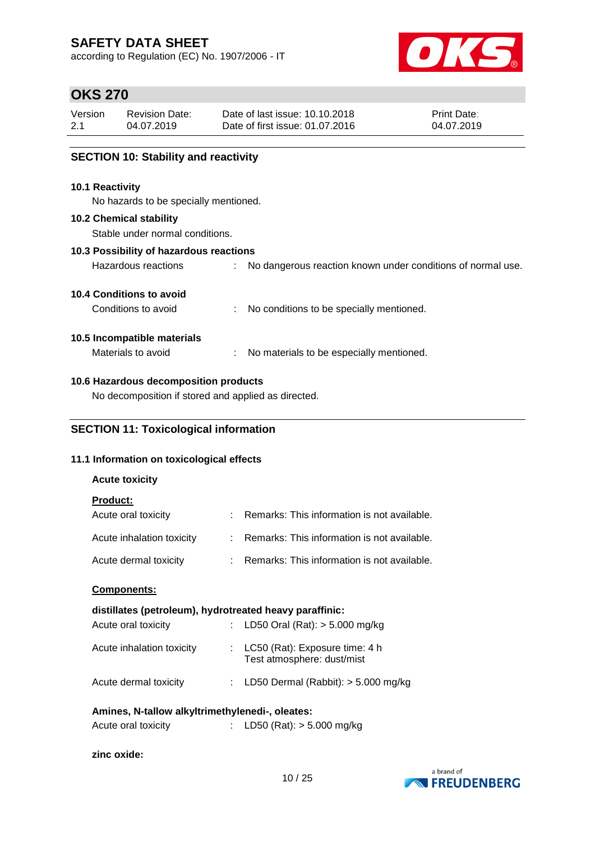according to Regulation (EC) No. 1907/2006 - IT



## **OKS 270**

| Version | <b>Revision Date:</b> | Date of last issue: 10.10.2018  | <b>Print Date:</b> |
|---------|-----------------------|---------------------------------|--------------------|
| 2.1     | 04.07.2019            | Date of first issue: 01.07.2016 | 04.07.2019         |
|         |                       |                                 |                    |

### **SECTION 10: Stability and reactivity**

#### **10.1 Reactivity**

No hazards to be specially mentioned.

#### **10.2 Chemical stability**

Stable under normal conditions.

#### **10.3 Possibility of hazardous reactions**

| Hazardous reactions |  |  |  |  |  | No dangerous reaction known under conditions of normal use. |  |  |
|---------------------|--|--|--|--|--|-------------------------------------------------------------|--|--|
|---------------------|--|--|--|--|--|-------------------------------------------------------------|--|--|

#### **10.4 Conditions to avoid**

Conditions to avoid : No conditions to be specially mentioned.

#### **10.5 Incompatible materials**

Materials to avoid : No materials to be especially mentioned.

### **10.6 Hazardous decomposition products**

No decomposition if stored and applied as directed.

### **SECTION 11: Toxicological information**

### **11.1 Information on toxicological effects**

#### **Acute toxicity**

**Product:**

| Acute oral toxicity       | : Remarks: This information is not available. |
|---------------------------|-----------------------------------------------|
| Acute inhalation toxicity | : Remarks: This information is not available. |
| Acute dermal toxicity     | Remarks: This information is not available.   |

#### **Components:**

#### **distillates (petroleum), hydrotreated heavy paraffinic:**

| Acute oral toxicity       | : LD50 Oral (Rat): $> 5.000$ mg/kg                               |
|---------------------------|------------------------------------------------------------------|
| Acute inhalation toxicity | : $LC50$ (Rat): Exposure time: 4 h<br>Test atmosphere: dust/mist |
| Acute dermal toxicity     | : LD50 Dermal (Rabbit): $> 5.000$ mg/kg                          |

#### **Amines, N-tallow alkyltrimethylenedi-, oleates:**

| Acute oral toxicity | LD50 (Rat): > 5.000 mg/kg |
|---------------------|---------------------------|
|---------------------|---------------------------|

#### **zinc oxide:**

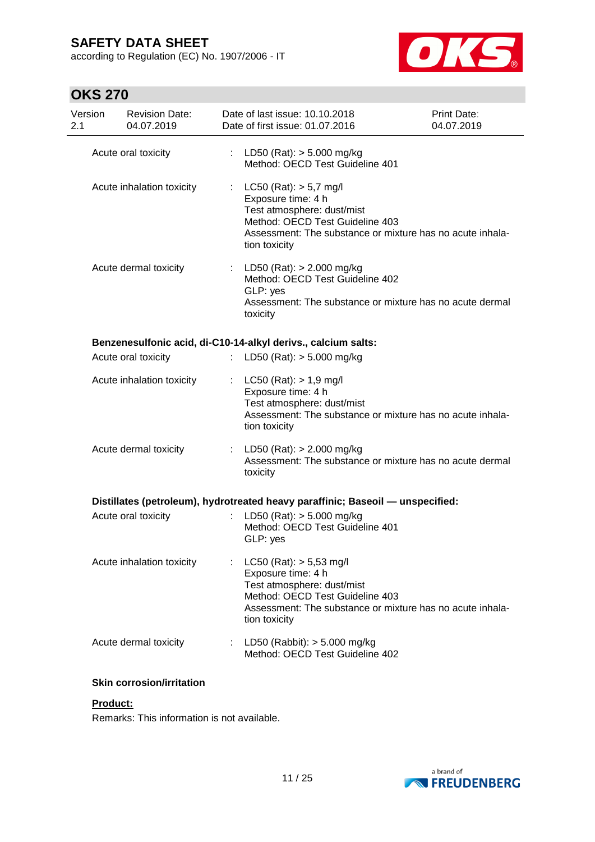according to Regulation (EC) No. 1907/2006 - IT



# **OKS 270**

| Version<br>2.1 | <b>Revision Date:</b><br>04.07.2019                                            |                  | Date of last issue: 10.10.2018<br>Date of first issue: 01.07.2016    |                                                                   | Print Date:<br>04.07.2019                                 |
|----------------|--------------------------------------------------------------------------------|------------------|----------------------------------------------------------------------|-------------------------------------------------------------------|-----------------------------------------------------------|
|                | Acute oral toxicity                                                            |                  | : LD50 (Rat): $>$ 5.000 mg/kg                                        | Method: OECD Test Guideline 401                                   |                                                           |
|                | Acute inhalation toxicity                                                      |                  | : $LC50 (Rat)$ : $> 5.7$ mg/l<br>Exposure time: 4 h<br>tion toxicity | Test atmosphere: dust/mist<br>Method: OECD Test Guideline 403     | Assessment: The substance or mixture has no acute inhala- |
|                | Acute dermal toxicity                                                          |                  | : LD50 (Rat): $> 2.000$ mg/kg<br>GLP: yes<br>toxicity                | Method: OECD Test Guideline 402                                   | Assessment: The substance or mixture has no acute dermal  |
|                | Benzenesulfonic acid, di-C10-14-alkyl derivs., calcium salts:                  |                  |                                                                      |                                                                   |                                                           |
|                | Acute oral toxicity                                                            | ÷.               | LD50 (Rat): $> 5.000$ mg/kg                                          |                                                                   |                                                           |
|                | Acute inhalation toxicity                                                      |                  | $LC50$ (Rat): $> 1.9$ mg/l<br>Exposure time: 4 h<br>tion toxicity    | Test atmosphere: dust/mist                                        | Assessment: The substance or mixture has no acute inhala- |
|                | Acute dermal toxicity                                                          |                  | : LD50 (Rat): $> 2.000$ mg/kg<br>toxicity                            |                                                                   | Assessment: The substance or mixture has no acute dermal  |
|                | Distillates (petroleum), hydrotreated heavy paraffinic; Baseoil - unspecified: |                  |                                                                      |                                                                   |                                                           |
|                | Acute oral toxicity                                                            |                  | LD50 (Rat): $> 5.000$ mg/kg<br>GLP: yes                              | Method: OECD Test Guideline 401                                   |                                                           |
|                | Acute inhalation toxicity                                                      |                  | LC50 (Rat): > 5,53 mg/l<br>Exposure time: 4 h<br>tion toxicity       | Test atmosphere: dust/mist<br>Method: OECD Test Guideline 403     | Assessment: The substance or mixture has no acute inhala- |
|                | Acute dermal toxicity                                                          | $\mathbb{Z}^n$ . |                                                                      | LD50 (Rabbit): $> 5.000$ mg/kg<br>Method: OECD Test Guideline 402 |                                                           |

#### **Skin corrosion/irritation**

### **Product:**

Remarks: This information is not available.

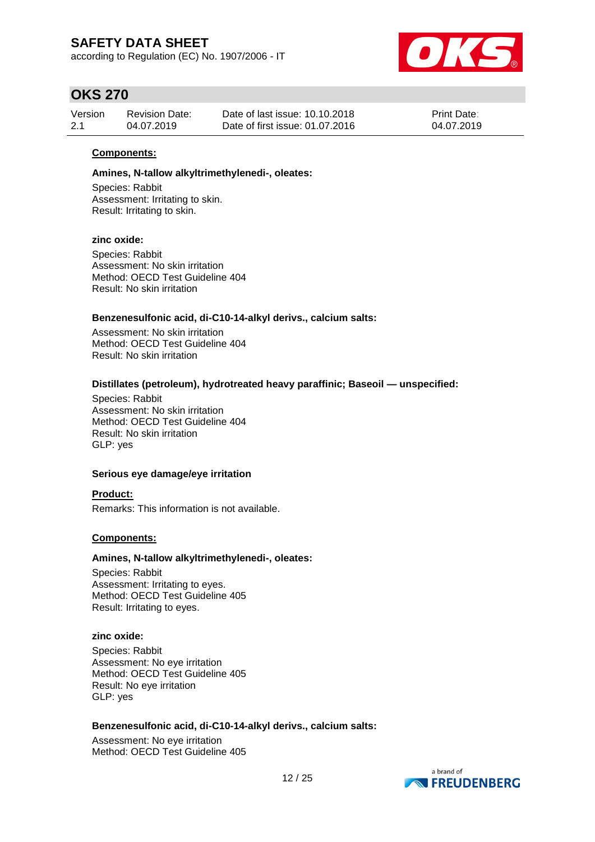according to Regulation (EC) No. 1907/2006 - IT



## **OKS 270**

| Version | <b>Revision Date:</b> | Date of last issue: 10.10.2018  | <b>Print Date:</b> |
|---------|-----------------------|---------------------------------|--------------------|
| 2.1     | 04.07.2019            | Date of first issue: 01.07.2016 | 04.07.2019         |

#### **Components:**

#### **Amines, N-tallow alkyltrimethylenedi-, oleates:**

Species: Rabbit Assessment: Irritating to skin. Result: Irritating to skin.

#### **zinc oxide:**

Species: Rabbit Assessment: No skin irritation Method: OECD Test Guideline 404 Result: No skin irritation

#### **Benzenesulfonic acid, di-C10-14-alkyl derivs., calcium salts:**

Assessment: No skin irritation Method: OECD Test Guideline 404 Result: No skin irritation

#### **Distillates (petroleum), hydrotreated heavy paraffinic; Baseoil — unspecified:**

Species: Rabbit Assessment: No skin irritation Method: OECD Test Guideline 404 Result: No skin irritation GLP: yes

#### **Serious eye damage/eye irritation**

**Product:** Remarks: This information is not available.

#### **Components:**

#### **Amines, N-tallow alkyltrimethylenedi-, oleates:**

Species: Rabbit Assessment: Irritating to eyes. Method: OECD Test Guideline 405 Result: Irritating to eyes.

#### **zinc oxide:**

Species: Rabbit Assessment: No eye irritation Method: OECD Test Guideline 405 Result: No eye irritation GLP: yes

#### **Benzenesulfonic acid, di-C10-14-alkyl derivs., calcium salts:**

Assessment: No eye irritation Method: OECD Test Guideline 405

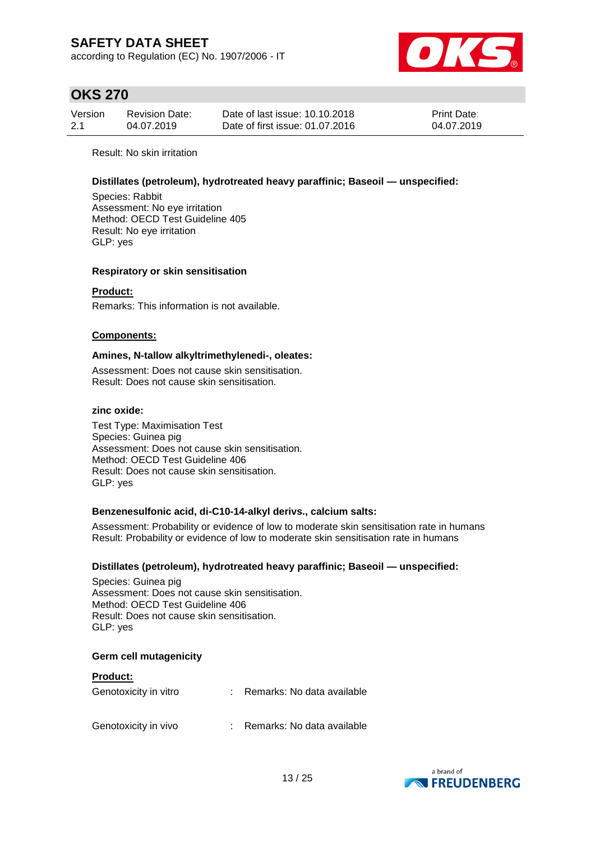according to Regulation (EC) No. 1907/2006 - IT



## **OKS 270**

| Version | <b>Revision Date:</b> | Date of last issue: 10.10.2018  | <b>Print Date:</b> |
|---------|-----------------------|---------------------------------|--------------------|
| 2.1     | 04.07.2019            | Date of first issue: 01.07.2016 | 04.07.2019         |

Result: No skin irritation

#### **Distillates (petroleum), hydrotreated heavy paraffinic; Baseoil — unspecified:**

Species: Rabbit Assessment: No eye irritation Method: OECD Test Guideline 405 Result: No eye irritation GLP: yes

#### **Respiratory or skin sensitisation**

### **Product:**

Remarks: This information is not available.

#### **Components:**

#### **Amines, N-tallow alkyltrimethylenedi-, oleates:**

Assessment: Does not cause skin sensitisation. Result: Does not cause skin sensitisation.

#### **zinc oxide:**

Test Type: Maximisation Test Species: Guinea pig Assessment: Does not cause skin sensitisation. Method: OECD Test Guideline 406 Result: Does not cause skin sensitisation. GLP: yes

#### **Benzenesulfonic acid, di-C10-14-alkyl derivs., calcium salts:**

Assessment: Probability or evidence of low to moderate skin sensitisation rate in humans Result: Probability or evidence of low to moderate skin sensitisation rate in humans

#### **Distillates (petroleum), hydrotreated heavy paraffinic; Baseoil — unspecified:**

Species: Guinea pig Assessment: Does not cause skin sensitisation. Method: OECD Test Guideline 406 Result: Does not cause skin sensitisation. GLP: yes

#### **Germ cell mutagenicity**

| <b>Product:</b>       |                            |
|-----------------------|----------------------------|
| Genotoxicity in vitro | Remarks: No data available |
| Genotoxicity in vivo  | Remarks: No data available |

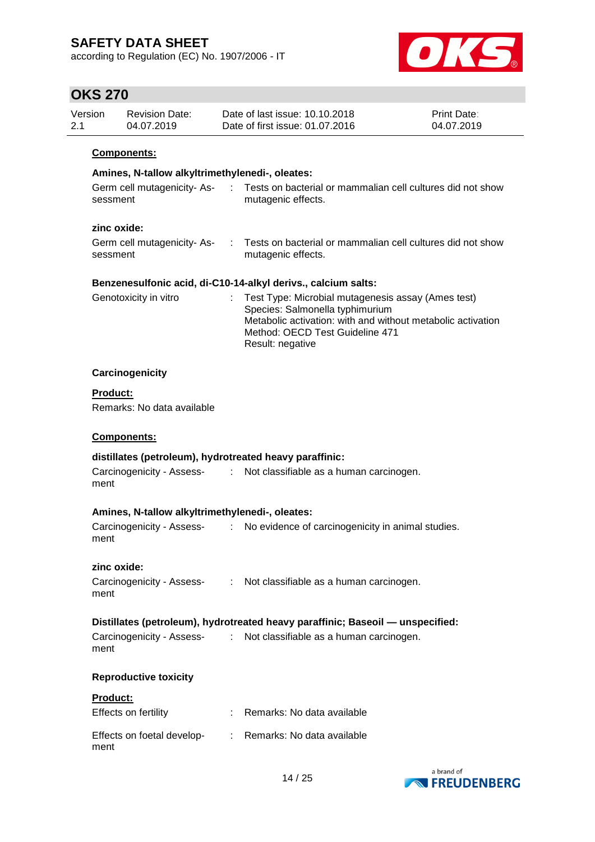according to Regulation (EC) No. 1907/2006 - IT



## **OKS 270**

| Version | Revision Date: | Date of last issue: 10.10.2018  | <b>Print Date:</b> |
|---------|----------------|---------------------------------|--------------------|
| 2.1     | 04.07.2019     | Date of first issue: 01.07.2016 | 04.07.2019         |
|         |                |                                 |                    |

#### **Components:**

# **Amines, N-tallow alkyltrimethylenedi-, oleates:**

| Germ cell mutagenicity- As- | Tests on bacterial or mammalian cell cultures did not show |
|-----------------------------|------------------------------------------------------------|
| sessment                    | mutagenic effects.                                         |

### **zinc oxide:**

| Germ cell mutagenicity- As- | Tests on bacterial or mammalian cell cultures did not show |
|-----------------------------|------------------------------------------------------------|
| sessment                    | mutagenic effects.                                         |

#### **Benzenesulfonic acid, di-C10-14-alkyl derivs., calcium salts:**

| Genotoxicity in vitro | : Test Type: Microbial mutagenesis assay (Ames test)        |
|-----------------------|-------------------------------------------------------------|
|                       | Species: Salmonella typhimurium                             |
|                       | Metabolic activation: with and without metabolic activation |
|                       | Method: OECD Test Guideline 471                             |
|                       | Result: negative                                            |

#### **Carcinogenicity**

**Product:**

Remarks: No data available

#### **Components:**

### **distillates (petroleum), hydrotreated heavy paraffinic:**

| Carcinogenicity - Assess- | Not classifiable as a human carcinogen. |
|---------------------------|-----------------------------------------|
| ment                      |                                         |

#### **Amines, N-tallow alkyltrimethylenedi-, oleates:**

| Carcinogenicity - Assess- | No evidence of carcinogenicity in animal studies. |
|---------------------------|---------------------------------------------------|
| ment                      |                                                   |

#### **zinc oxide:**

| Carcinogenicity - Assess- | Not classifiable as a human carcinogen. |
|---------------------------|-----------------------------------------|
| ment                      |                                         |

#### **Distillates (petroleum), hydrotreated heavy paraffinic; Baseoil — unspecified:**

| Carcinogenicity - Assess- | Not classifiable as a human carcinogen. |
|---------------------------|-----------------------------------------|
| ment                      |                                         |

#### **Reproductive toxicity**

#### **Product:**

| Effects on fertility               | : Remarks: No data available |
|------------------------------------|------------------------------|
| Effects on foetal develop-<br>ment | : Remarks: No data available |

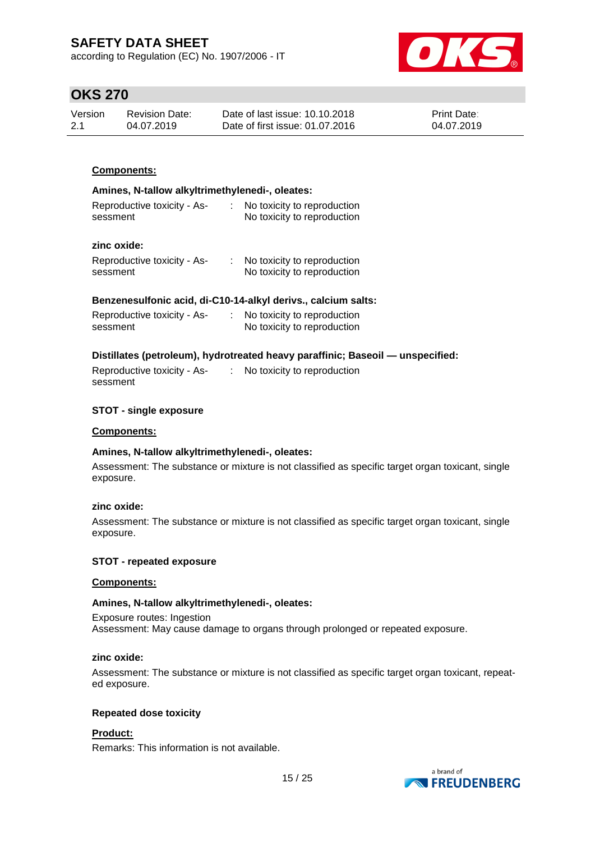according to Regulation (EC) No. 1907/2006 - IT



## **OKS 270**

| Version | <b>Revision Date:</b> | Date of last issue: 10.10.2018  | <b>Print Date:</b> |
|---------|-----------------------|---------------------------------|--------------------|
| 2.1     | 04.07.2019            | Date of first issue: 01.07.2016 | 04.07.2019         |

### **Components:**

#### **Amines, N-tallow alkyltrimethylenedi-, oleates:**

| Reproductive toxicity - As- | No toxicity to reproduction |
|-----------------------------|-----------------------------|
| sessment                    | No toxicity to reproduction |

### **zinc oxide:**

| Reproductive toxicity - As- | No toxicity to reproduction |
|-----------------------------|-----------------------------|
| sessment                    | No toxicity to reproduction |

#### **Benzenesulfonic acid, di-C10-14-alkyl derivs., calcium salts:**

| Reproductive toxicity - As- | No toxicity to reproduction |
|-----------------------------|-----------------------------|
| sessment                    | No toxicity to reproduction |

#### **Distillates (petroleum), hydrotreated heavy paraffinic; Baseoil — unspecified:**

Reproductive toxicity - Assessment : No toxicity to reproduction

#### **STOT - single exposure**

#### **Components:**

#### **Amines, N-tallow alkyltrimethylenedi-, oleates:**

Assessment: The substance or mixture is not classified as specific target organ toxicant, single exposure.

#### **zinc oxide:**

Assessment: The substance or mixture is not classified as specific target organ toxicant, single exposure.

#### **STOT - repeated exposure**

#### **Components:**

#### **Amines, N-tallow alkyltrimethylenedi-, oleates:**

Exposure routes: Ingestion Assessment: May cause damage to organs through prolonged or repeated exposure.

#### **zinc oxide:**

Assessment: The substance or mixture is not classified as specific target organ toxicant, repeated exposure.

#### **Repeated dose toxicity**

#### **Product:**

Remarks: This information is not available.

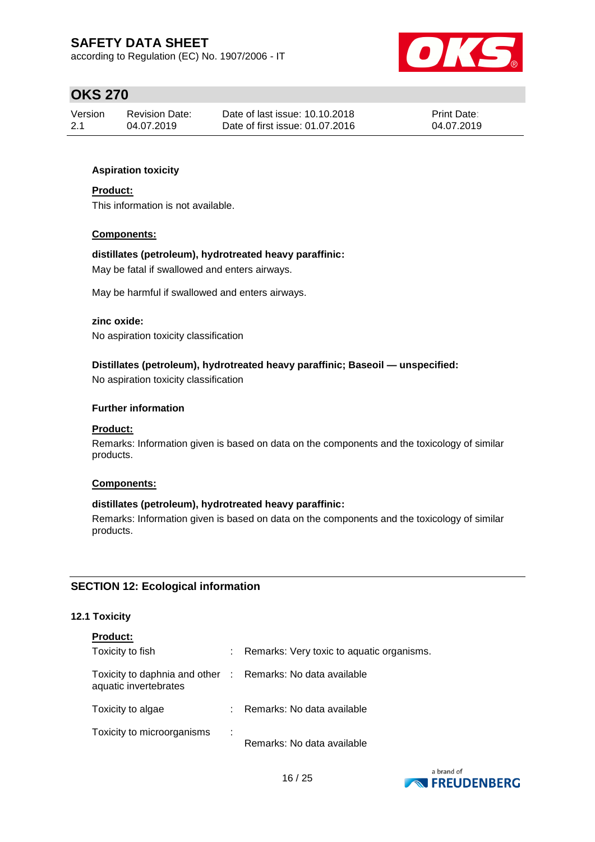according to Regulation (EC) No. 1907/2006 - IT



## **OKS 270**

| Version | Revision Date: | Date of last issue: 10.10.2018  | <b>Print Date:</b> |
|---------|----------------|---------------------------------|--------------------|
| 2.1     | 04.07.2019     | Date of first issue: 01.07.2016 | 04.07.2019         |

### **Aspiration toxicity**

#### **Product:**

This information is not available.

#### **Components:**

#### **distillates (petroleum), hydrotreated heavy paraffinic:**

May be fatal if swallowed and enters airways.

May be harmful if swallowed and enters airways.

#### **zinc oxide:**

No aspiration toxicity classification

### **Distillates (petroleum), hydrotreated heavy paraffinic; Baseoil — unspecified:**

No aspiration toxicity classification

#### **Further information**

#### **Product:**

Remarks: Information given is based on data on the components and the toxicology of similar products.

#### **Components:**

#### **distillates (petroleum), hydrotreated heavy paraffinic:**

Remarks: Information given is based on data on the components and the toxicology of similar products.

### **SECTION 12: Ecological information**

#### **12.1 Toxicity**

| <b>Product:</b>                                                                     |    |                                           |
|-------------------------------------------------------------------------------------|----|-------------------------------------------|
| Toxicity to fish                                                                    |    | Remarks: Very toxic to aquatic organisms. |
| Toxicity to daphnia and other : Remarks: No data available<br>aquatic invertebrates |    |                                           |
| Toxicity to algae                                                                   | ÷. | Remarks: No data available                |
| Toxicity to microorganisms                                                          | ÷  | Remarks: No data available                |

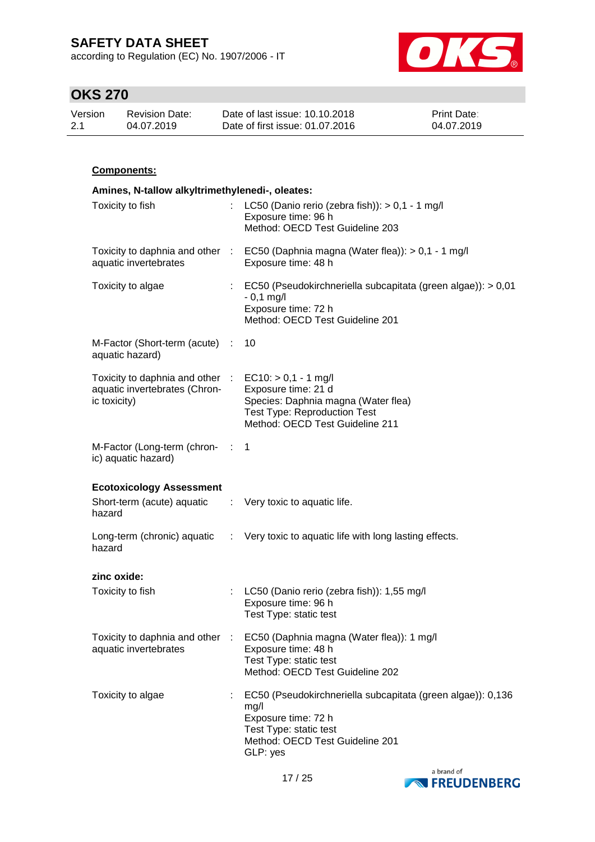according to Regulation (EC) No. 1907/2006 - IT



# **OKS 270**

| Version | Revision Date: | Date of last issue: 10.10.2018  | <b>Print Date:</b> |
|---------|----------------|---------------------------------|--------------------|
| 2.1     | 04.07.2019     | Date of first issue: 01.07.2016 | 04.07.2019         |

### **Components:**

|                                                                                                                  | Amines, N-tallow alkyltrimethylenedi-, oleates:                                                                                         |  |  |  |  |  |  |
|------------------------------------------------------------------------------------------------------------------|-----------------------------------------------------------------------------------------------------------------------------------------|--|--|--|--|--|--|
| Toxicity to fish                                                                                                 | LC50 (Danio rerio (zebra fish)): > 0,1 - 1 mg/l<br>Exposure time: 96 h<br>Method: OECD Test Guideline 203                               |  |  |  |  |  |  |
| aquatic invertebrates                                                                                            | Toxicity to daphnia and other : EC50 (Daphnia magna (Water flea)): > 0,1 - 1 mg/l<br>Exposure time: 48 h                                |  |  |  |  |  |  |
| Toxicity to algae                                                                                                | : EC50 (Pseudokirchneriella subcapitata (green algae)): > 0,01<br>$-0,1$ mg/l<br>Exposure time: 72 h<br>Method: OECD Test Guideline 201 |  |  |  |  |  |  |
| M-Factor (Short-term (acute) :<br>aquatic hazard)                                                                | 10                                                                                                                                      |  |  |  |  |  |  |
| Toxicity to daphnia and other $\therefore$ EC10: > 0,1 - 1 mg/l<br>aquatic invertebrates (Chron-<br>ic toxicity) | Exposure time: 21 d<br>Species: Daphnia magna (Water flea)<br><b>Test Type: Reproduction Test</b><br>Method: OECD Test Guideline 211    |  |  |  |  |  |  |
| M-Factor (Long-term (chron- : 1<br>ic) aquatic hazard)                                                           |                                                                                                                                         |  |  |  |  |  |  |
| <b>Ecotoxicology Assessment</b><br>Short-term (acute) aquatic : Very toxic to aquatic life.<br>hazard            |                                                                                                                                         |  |  |  |  |  |  |
| hazard                                                                                                           | Long-term (chronic) aquatic : Very toxic to aquatic life with long lasting effects.                                                     |  |  |  |  |  |  |
| zinc oxide:                                                                                                      |                                                                                                                                         |  |  |  |  |  |  |
| Toxicity to fish                                                                                                 | : LC50 (Danio rerio (zebra fish)): 1,55 mg/l<br>Exposure time: 96 h<br>Test Type: static test                                           |  |  |  |  |  |  |
| Toxicity to daphnia and other :<br>aquatic invertebrates                                                         | EC50 (Daphnia magna (Water flea)): 1 mg/l<br>Exposure time: 48 h<br>Test Type: static test                                              |  |  |  |  |  |  |
|                                                                                                                  | Method: OECD Test Guideline 202                                                                                                         |  |  |  |  |  |  |

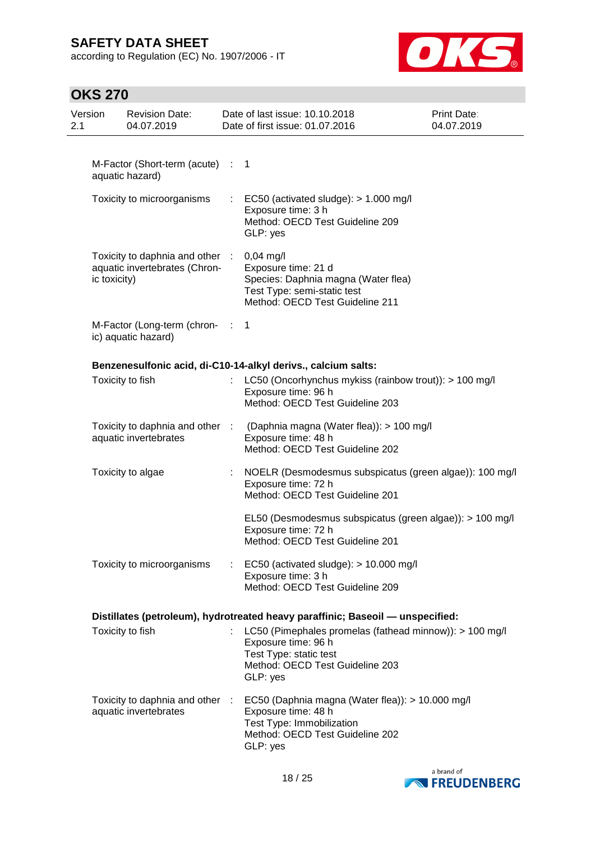according to Regulation (EC) No. 1907/2006 - IT



| Version<br>2.1 |              | <b>Revision Date:</b><br>04.07.2019                              |                | Date of last issue: 10.10.2018<br>Date of first issue: 01.07.2016                                                                                       | Print Date:<br>04.07.2019 |
|----------------|--------------|------------------------------------------------------------------|----------------|---------------------------------------------------------------------------------------------------------------------------------------------------------|---------------------------|
|                |              |                                                                  |                |                                                                                                                                                         |                           |
|                |              | M-Factor (Short-term (acute) : 1<br>aquatic hazard)              |                |                                                                                                                                                         |                           |
|                |              | Toxicity to microorganisms                                       |                | EC50 (activated sludge): $> 1.000$ mg/l<br>Exposure time: 3 h<br>Method: OECD Test Guideline 209<br>GLP: yes                                            |                           |
|                | ic toxicity) | Toxicity to daphnia and other :<br>aquatic invertebrates (Chron- |                | $0,04$ mg/l<br>Exposure time: 21 d<br>Species: Daphnia magna (Water flea)<br>Test Type: semi-static test<br>Method: OECD Test Guideline 211             |                           |
|                |              | M-Factor (Long-term (chron-<br>ic) aquatic hazard)               | <b>COLLECT</b> | -1                                                                                                                                                      |                           |
|                |              |                                                                  |                | Benzenesulfonic acid, di-C10-14-alkyl derivs., calcium salts:                                                                                           |                           |
|                |              | Toxicity to fish                                                 |                | LC50 (Oncorhynchus mykiss (rainbow trout)): > 100 mg/l<br>Exposure time: 96 h<br>Method: OECD Test Guideline 203                                        |                           |
|                |              | Toxicity to daphnia and other :<br>aquatic invertebrates         |                | (Daphnia magna (Water flea)): > 100 mg/l<br>Exposure time: 48 h<br>Method: OECD Test Guideline 202                                                      |                           |
|                |              | Toxicity to algae                                                |                | NOELR (Desmodesmus subspicatus (green algae)): 100 mg/l<br>Exposure time: 72 h<br>Method: OECD Test Guideline 201                                       |                           |
|                |              |                                                                  |                | EL50 (Desmodesmus subspicatus (green algae)): > 100 mg/l<br>Exposure time: 72 h<br>Method: OECD Test Guideline 201                                      |                           |
|                |              | Toxicity to microorganisms                                       |                | EC50 (activated sludge): > 10.000 mg/l<br>Exposure time: 3 h<br>Method: OECD Test Guideline 209                                                         |                           |
|                |              |                                                                  |                | Distillates (petroleum), hydrotreated heavy paraffinic; Baseoil - unspecified:                                                                          |                           |
|                |              | Toxicity to fish                                                 |                | LC50 (Pimephales promelas (fathead minnow)): > 100 mg/l<br>Exposure time: 96 h<br>Test Type: static test<br>Method: OECD Test Guideline 203<br>GLP: yes |                           |
|                |              | Toxicity to daphnia and other :<br>aquatic invertebrates         |                | EC50 (Daphnia magna (Water flea)): > 10.000 mg/l<br>Exposure time: 48 h<br>Test Type: Immobilization<br>Method: OECD Test Guideline 202<br>GLP: yes     |                           |

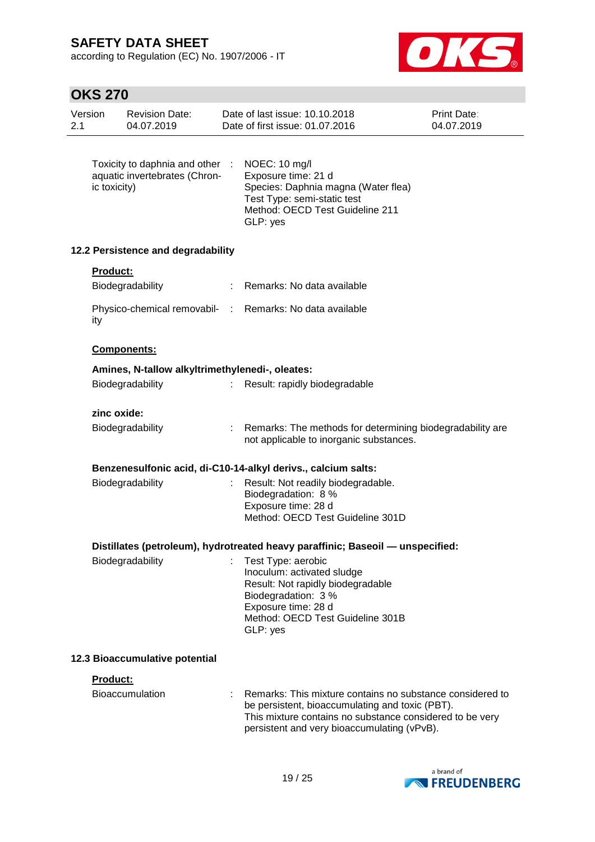according to Regulation (EC) No. 1907/2006 - IT



| Version<br>2.1 |                 | <b>Revision Date:</b><br>04.07.2019                              | Date of last issue: 10.10.2018<br>Date of first issue: 01.07.2016                                                                                                                                                       | Print Date:<br>04.07.2019 |
|----------------|-----------------|------------------------------------------------------------------|-------------------------------------------------------------------------------------------------------------------------------------------------------------------------------------------------------------------------|---------------------------|
|                | ic toxicity)    | Toxicity to daphnia and other :<br>aquatic invertebrates (Chron- | NOEC: 10 mg/l<br>Exposure time: 21 d<br>Species: Daphnia magna (Water flea)<br>Test Type: semi-static test<br>Method: OECD Test Guideline 211<br>GLP: yes                                                               |                           |
|                |                 | 12.2 Persistence and degradability                               |                                                                                                                                                                                                                         |                           |
|                | <b>Product:</b> | Biodegradability                                                 | Remarks: No data available                                                                                                                                                                                              |                           |
|                | ity             |                                                                  | Physico-chemical removabil- : Remarks: No data available                                                                                                                                                                |                           |
|                |                 | Components:                                                      |                                                                                                                                                                                                                         |                           |
|                |                 | Amines, N-tallow alkyltrimethylenedi-, oleates:                  |                                                                                                                                                                                                                         |                           |
|                |                 | Biodegradability                                                 | Result: rapidly biodegradable                                                                                                                                                                                           |                           |
|                | zinc oxide:     |                                                                  |                                                                                                                                                                                                                         |                           |
|                |                 | Biodegradability                                                 | Remarks: The methods for determining biodegradability are<br>not applicable to inorganic substances.                                                                                                                    |                           |
|                |                 |                                                                  | Benzenesulfonic acid, di-C10-14-alkyl derivs., calcium salts:                                                                                                                                                           |                           |
|                |                 | Biodegradability                                                 | Result: Not readily biodegradable.<br>Biodegradation: 8 %<br>Exposure time: 28 d<br>Method: OECD Test Guideline 301D                                                                                                    |                           |
|                |                 |                                                                  | Distillates (petroleum), hydrotreated heavy paraffinic; Baseoil - unspecified:                                                                                                                                          |                           |
|                |                 | Biodegradability                                                 | Test Type: aerobic<br>Inoculum: activated sludge<br>Result: Not rapidly biodegradable<br>Biodegradation: 3 %<br>Exposure time: 28 d<br>Method: OECD Test Guideline 301B<br>GLP: yes                                     |                           |
|                |                 | 12.3 Bioaccumulative potential                                   |                                                                                                                                                                                                                         |                           |
|                | Product:        |                                                                  |                                                                                                                                                                                                                         |                           |
|                |                 | <b>Bioaccumulation</b>                                           | Remarks: This mixture contains no substance considered to<br>be persistent, bioaccumulating and toxic (PBT).<br>This mixture contains no substance considered to be very<br>persistent and very bioaccumulating (vPvB). |                           |

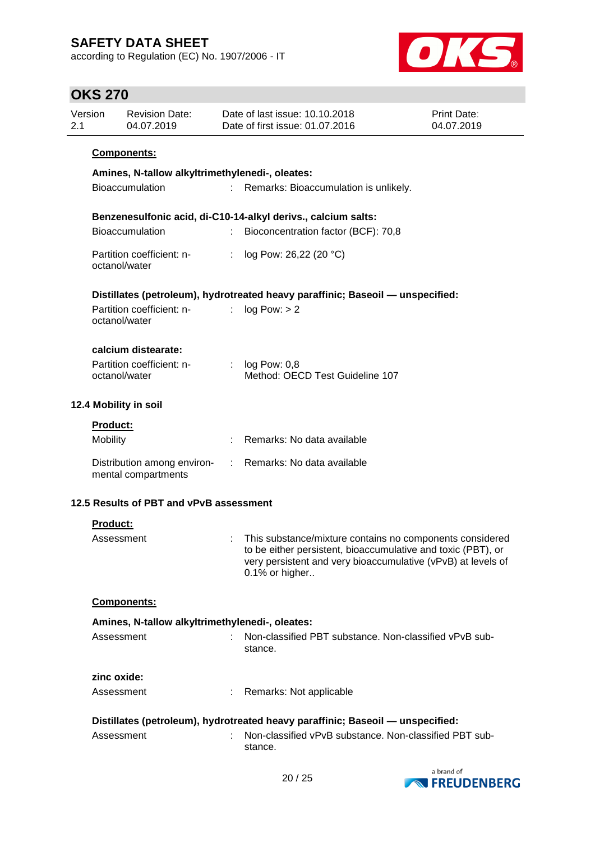according to Regulation (EC) No. 1907/2006 - IT



| 2.1 | Version                                         | <b>Revision Date:</b><br>04.07.2019                | Date of last issue: 10.10.2018<br>Date of first issue: 01.07.2016 |                                                                                                                                                                                                            | Print Date:<br>04.07.2019 |  |  |  |
|-----|-------------------------------------------------|----------------------------------------------------|-------------------------------------------------------------------|------------------------------------------------------------------------------------------------------------------------------------------------------------------------------------------------------------|---------------------------|--|--|--|
|     |                                                 | <b>Components:</b>                                 |                                                                   |                                                                                                                                                                                                            |                           |  |  |  |
|     | Amines, N-tallow alkyltrimethylenedi-, oleates: |                                                    |                                                                   |                                                                                                                                                                                                            |                           |  |  |  |
|     |                                                 | <b>Bioaccumulation</b>                             |                                                                   | Remarks: Bioaccumulation is unlikely.                                                                                                                                                                      |                           |  |  |  |
|     |                                                 |                                                    |                                                                   | Benzenesulfonic acid, di-C10-14-alkyl derivs., calcium salts:                                                                                                                                              |                           |  |  |  |
|     |                                                 | <b>Bioaccumulation</b>                             | t.                                                                | Bioconcentration factor (BCF): 70,8                                                                                                                                                                        |                           |  |  |  |
|     |                                                 | Partition coefficient: n-<br>octanol/water         | $\mathbb{R}^n$                                                    | log Pow: 26,22 (20 °C)                                                                                                                                                                                     |                           |  |  |  |
|     |                                                 |                                                    |                                                                   | Distillates (petroleum), hydrotreated heavy paraffinic; Baseoil - unspecified:                                                                                                                             |                           |  |  |  |
|     |                                                 | Partition coefficient: n-<br>octanol/water         | t.                                                                | log Pow: > 2                                                                                                                                                                                               |                           |  |  |  |
|     |                                                 | calcium distearate:                                |                                                                   |                                                                                                                                                                                                            |                           |  |  |  |
|     |                                                 | Partition coefficient: n-<br>octanol/water         |                                                                   | $log$ Pow: $0,8$<br>Method: OECD Test Guideline 107                                                                                                                                                        |                           |  |  |  |
|     |                                                 | 12.4 Mobility in soil                              |                                                                   |                                                                                                                                                                                                            |                           |  |  |  |
|     | Product:                                        |                                                    |                                                                   |                                                                                                                                                                                                            |                           |  |  |  |
|     | Mobility                                        |                                                    |                                                                   | Remarks: No data available                                                                                                                                                                                 |                           |  |  |  |
|     |                                                 | Distribution among environ-<br>mental compartments | $\mathcal{L}$                                                     | Remarks: No data available                                                                                                                                                                                 |                           |  |  |  |
|     |                                                 | 12.5 Results of PBT and vPvB assessment            |                                                                   |                                                                                                                                                                                                            |                           |  |  |  |
|     | <b>Product:</b>                                 |                                                    |                                                                   |                                                                                                                                                                                                            |                           |  |  |  |
|     | Assessment                                      |                                                    |                                                                   | This substance/mixture contains no components considered<br>to be either persistent, bioaccumulative and toxic (PBT), or<br>very persistent and very bioaccumulative (vPvB) at levels of<br>0.1% or higher |                           |  |  |  |
|     |                                                 | Components:                                        |                                                                   |                                                                                                                                                                                                            |                           |  |  |  |
|     |                                                 | Amines, N-tallow alkyltrimethylenedi-, oleates:    |                                                                   |                                                                                                                                                                                                            |                           |  |  |  |
|     | Assessment                                      |                                                    |                                                                   | Non-classified PBT substance. Non-classified vPvB sub-<br>stance.                                                                                                                                          |                           |  |  |  |
|     | zinc oxide:                                     |                                                    |                                                                   |                                                                                                                                                                                                            |                           |  |  |  |
|     | Assessment                                      |                                                    |                                                                   | Remarks: Not applicable                                                                                                                                                                                    |                           |  |  |  |
|     |                                                 |                                                    |                                                                   | Distillates (petroleum), hydrotreated heavy paraffinic; Baseoil - unspecified:                                                                                                                             |                           |  |  |  |
|     | Assessment                                      |                                                    |                                                                   | Non-classified vPvB substance. Non-classified PBT sub-<br>stance.                                                                                                                                          |                           |  |  |  |

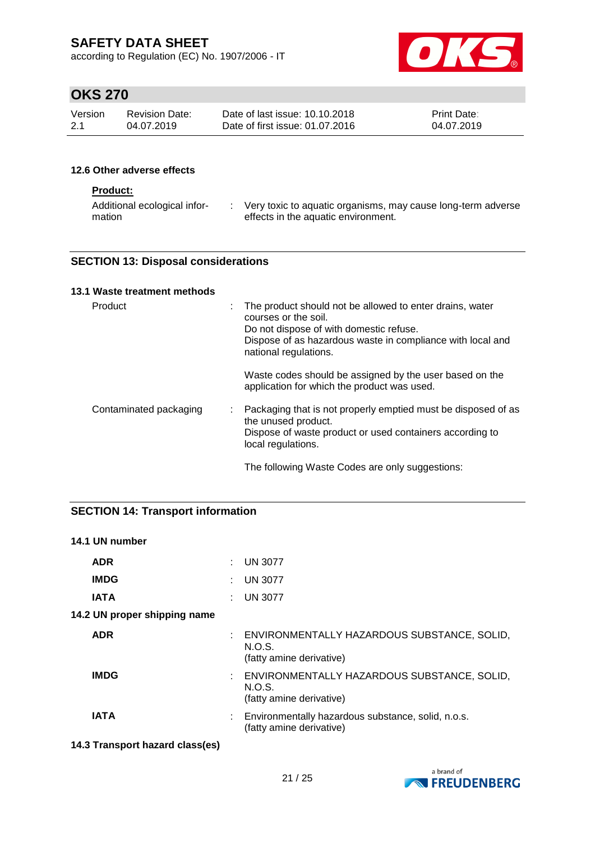according to Regulation (EC) No. 1907/2006 - IT



# **OKS 270**

| Version | Revision Date: | Date of last issue: 10.10.2018  | <b>Print Date:</b> |
|---------|----------------|---------------------------------|--------------------|
| -2.1    | 04.07.2019     | Date of first issue: 01.07.2016 | 04.07.2019         |

### **12.6 Other adverse effects**

### **Product:**

| Additional ecological infor- | Very toxic to aquatic organisms, may cause long-term adverse |
|------------------------------|--------------------------------------------------------------|
| mation                       | effects in the aquatic environment.                          |

### **SECTION 13: Disposal considerations**

### **13.1 Waste treatment methods**

| Product                | The product should not be allowed to enter drains, water<br>courses or the soil.<br>Do not dispose of with domestic refuse.<br>Dispose of as hazardous waste in compliance with local and<br>national regulations. |
|------------------------|--------------------------------------------------------------------------------------------------------------------------------------------------------------------------------------------------------------------|
|                        | Waste codes should be assigned by the user based on the<br>application for which the product was used.                                                                                                             |
| Contaminated packaging | Packaging that is not properly emptied must be disposed of as<br>the unused product.<br>Dispose of waste product or used containers according to<br>local regulations.                                             |
|                        | The following Waste Codes are only suggestions:                                                                                                                                                                    |

### **SECTION 14: Transport information**

| 14.1 UN number               |                                                                                     |
|------------------------------|-------------------------------------------------------------------------------------|
| <b>ADR</b>                   | <b>UN 3077</b>                                                                      |
| <b>IMDG</b>                  | $:$ UN 3077                                                                         |
| IATA                         | <b>UN 3077</b>                                                                      |
| 14.2 UN proper shipping name |                                                                                     |
| <b>ADR</b>                   | : ENVIRONMENTALLY HAZARDOUS SUBSTANCE, SOLID,<br>N.O.S.<br>(fatty amine derivative) |
| <b>IMDG</b>                  | : ENVIRONMENTALLY HAZARDOUS SUBSTANCE, SOLID,<br>N.O.S.<br>(fatty amine derivative) |
| IATA                         | : Environmentally hazardous substance, solid, n.o.s.<br>(fatty amine derivative)    |

### **14.3 Transport hazard class(es)**

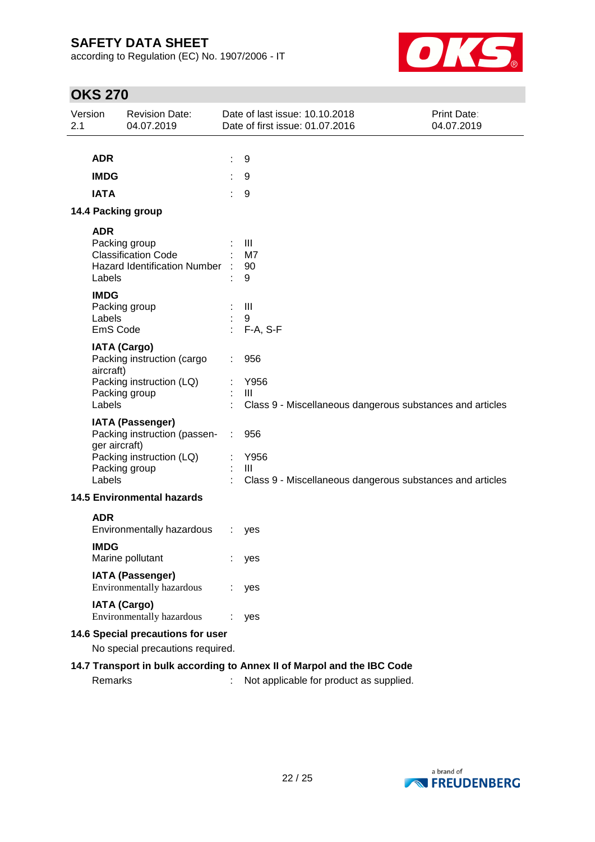according to Regulation (EC) No. 1907/2006 - IT



# **OKS 270**

| Version<br>2.1 |                                                                         | <b>Revision Date:</b><br>04.07.2019                     | Date of last issue: 10.10.2018<br><b>Print Date:</b><br>Date of first issue: 01.07.2016<br>04.07.2019 |                                                                             |  |  |  |
|----------------|-------------------------------------------------------------------------|---------------------------------------------------------|-------------------------------------------------------------------------------------------------------|-----------------------------------------------------------------------------|--|--|--|
|                |                                                                         |                                                         |                                                                                                       |                                                                             |  |  |  |
|                | <b>ADR</b>                                                              |                                                         |                                                                                                       | 9                                                                           |  |  |  |
|                | <b>IMDG</b>                                                             |                                                         |                                                                                                       | 9                                                                           |  |  |  |
|                | <b>IATA</b>                                                             |                                                         |                                                                                                       | 9                                                                           |  |  |  |
|                |                                                                         | 14.4 Packing group                                      |                                                                                                       |                                                                             |  |  |  |
|                | <b>ADR</b>                                                              | Packing group                                           |                                                                                                       | Ш                                                                           |  |  |  |
|                |                                                                         | <b>Classification Code</b>                              |                                                                                                       | M7                                                                          |  |  |  |
|                | Labels                                                                  | <b>Hazard Identification Number</b>                     |                                                                                                       | 90                                                                          |  |  |  |
|                |                                                                         |                                                         |                                                                                                       | 9                                                                           |  |  |  |
|                | <b>IMDG</b>                                                             | Packing group                                           |                                                                                                       | $\mathbf{III}$                                                              |  |  |  |
|                | Labels                                                                  |                                                         |                                                                                                       | 9                                                                           |  |  |  |
|                | EmS Code                                                                |                                                         |                                                                                                       | $F-A, S-F$                                                                  |  |  |  |
|                | aircraft)                                                               | <b>IATA (Cargo)</b><br>Packing instruction (cargo       |                                                                                                       | 956                                                                         |  |  |  |
|                |                                                                         | Packing instruction (LQ)                                |                                                                                                       | Y956                                                                        |  |  |  |
|                | Labels                                                                  | Packing group                                           |                                                                                                       | Ш                                                                           |  |  |  |
|                |                                                                         |                                                         |                                                                                                       | Class 9 - Miscellaneous dangerous substances and articles                   |  |  |  |
|                | ger aircraft)                                                           | <b>IATA (Passenger)</b><br>Packing instruction (passen- |                                                                                                       | 956                                                                         |  |  |  |
|                |                                                                         | Packing instruction (LQ)                                |                                                                                                       | Y956                                                                        |  |  |  |
|                | Labels                                                                  | Packing group                                           |                                                                                                       | $\mathbf{III}$<br>Class 9 - Miscellaneous dangerous substances and articles |  |  |  |
|                |                                                                         | <b>14.5 Environmental hazards</b>                       |                                                                                                       |                                                                             |  |  |  |
|                |                                                                         |                                                         |                                                                                                       |                                                                             |  |  |  |
|                | <b>ADR</b>                                                              | Environmentally hazardous                               |                                                                                                       | yes                                                                         |  |  |  |
|                | <b>IMDG</b>                                                             |                                                         |                                                                                                       |                                                                             |  |  |  |
|                |                                                                         | Marine pollutant                                        |                                                                                                       | yes                                                                         |  |  |  |
|                |                                                                         | <b>IATA (Passenger)</b><br>Environmentally hazardous    |                                                                                                       | yes                                                                         |  |  |  |
|                |                                                                         | <b>IATA (Cargo)</b><br>Environmentally hazardous        |                                                                                                       | yes                                                                         |  |  |  |
|                |                                                                         | 14.6 Special precautions for user                       |                                                                                                       |                                                                             |  |  |  |
|                | No special precautions required.                                        |                                                         |                                                                                                       |                                                                             |  |  |  |
|                | 14.7 Transport in bulk according to Annex II of Marpol and the IBC Code |                                                         |                                                                                                       |                                                                             |  |  |  |

Remarks : Not applicable for product as supplied.

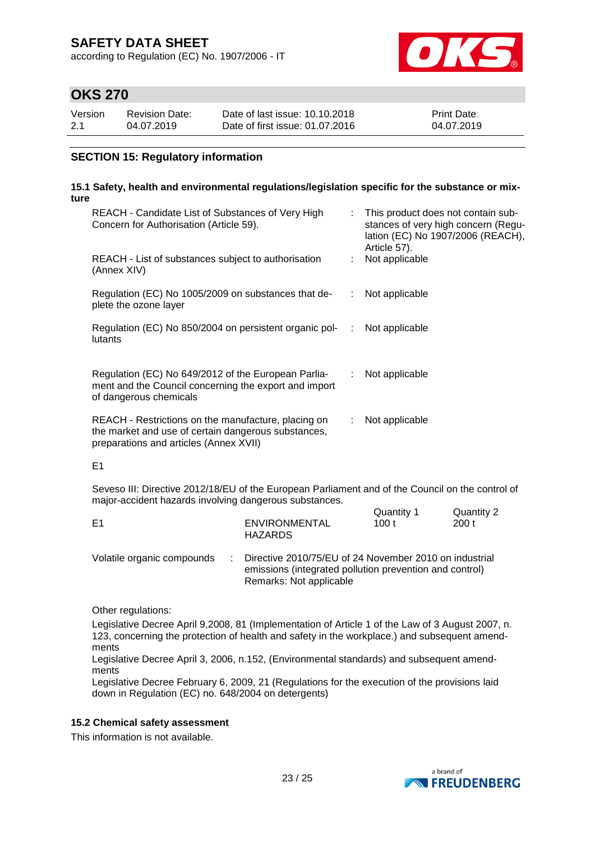according to Regulation (EC) No. 1907/2006 - IT



## **OKS 270**

| Version | Revision Date: | Date of last issue: 10.10.2018  | <b>Print Date:</b> |
|---------|----------------|---------------------------------|--------------------|
| 2.1     | 04.07.2019     | Date of first issue: 01.07.2016 | 04.07.2019         |

### **SECTION 15: Regulatory information**

#### **15.1 Safety, health and environmental regulations/legislation specific for the substance or mixture**

| REACH - Candidate List of Substances of Very High<br>Concern for Authorisation (Article 59).                                                         |     | This product does not contain sub-<br>stances of very high concern (Regu-<br>lation (EC) No 1907/2006 (REACH),<br>Article 57). |
|------------------------------------------------------------------------------------------------------------------------------------------------------|-----|--------------------------------------------------------------------------------------------------------------------------------|
| REACH - List of substances subject to authorisation<br>(Annex XIV)                                                                                   |     | Not applicable                                                                                                                 |
| Regulation (EC) No 1005/2009 on substances that de-<br>plete the ozone layer                                                                         | ÷.  | Not applicable                                                                                                                 |
| Regulation (EC) No 850/2004 on persistent organic pol-<br>lutants                                                                                    | -11 | Not applicable                                                                                                                 |
| Regulation (EC) No 649/2012 of the European Parlia-<br>ment and the Council concerning the export and import<br>of dangerous chemicals               | ÷.  | Not applicable                                                                                                                 |
| REACH - Restrictions on the manufacture, placing on<br>the market and use of certain dangerous substances,<br>preparations and articles (Annex XVII) |     | Not applicable                                                                                                                 |

#### E1

Seveso III: Directive 2012/18/EU of the European Parliament and of the Council on the control of major-accident hazards involving dangerous substances.  $Q_{\text{trans}}$ 

| E1                         |  | ENVIRONMENTAL                                                                                                                  | Quantity T | Quantity 2 |
|----------------------------|--|--------------------------------------------------------------------------------------------------------------------------------|------------|------------|
|                            |  | <b>HAZARDS</b>                                                                                                                 | 100 $t$    | 200 t      |
| Volatile organic compounds |  | $\therefore$ Directive 2010/75/EU of 24 November 2010 on industrial<br>emissions (integrated pollution prevention and control) |            |            |

Remarks: Not applicable

Other regulations:

Legislative Decree April 9,2008, 81 (Implementation of Article 1 of the Law of 3 August 2007, n. 123, concerning the protection of health and safety in the workplace.) and subsequent amendments

Legislative Decree April 3, 2006, n.152, (Environmental standards) and subsequent amendments

Legislative Decree February 6, 2009, 21 (Regulations for the execution of the provisions laid down in Regulation (EC) no. 648/2004 on detergents)

#### **15.2 Chemical safety assessment**

This information is not available.

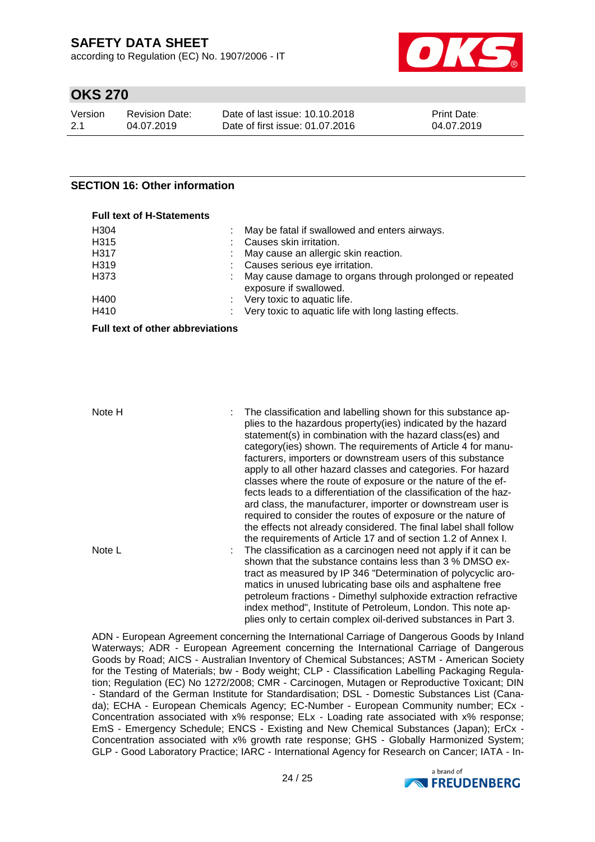according to Regulation (EC) No. 1907/2006 - IT



## **OKS 270**

| Version | Revision Date: | Date of last issue: 10.10.2018  | <b>Print Date:</b> |
|---------|----------------|---------------------------------|--------------------|
| 2.1     | 04.07.2019     | Date of first issue: 01.07.2016 | 04.07.2019         |

#### **SECTION 16: Other information**

| <b>Full text of H-Statements</b> |                                                                                    |
|----------------------------------|------------------------------------------------------------------------------------|
| H304                             | May be fatal if swallowed and enters airways.                                      |
| H315                             | Causes skin irritation.                                                            |
| H317                             | : May cause an allergic skin reaction.                                             |
| H319                             | : Causes serious eye irritation.                                                   |
| H373                             | May cause damage to organs through prolonged or repeated<br>exposure if swallowed. |
| H400                             | : Very toxic to aquatic life.                                                      |
| H410                             | Very toxic to aquatic life with long lasting effects.                              |

#### **Full text of other abbreviations**

Note H : The classification and labelling shown for this substance applies to the hazardous property(ies) indicated by the hazard statement(s) in combination with the hazard class(es) and category(ies) shown. The requirements of Article 4 for manufacturers, importers or downstream users of this substance apply to all other hazard classes and categories. For hazard classes where the route of exposure or the nature of the effects leads to a differentiation of the classification of the hazard class, the manufacturer, importer or downstream user is required to consider the routes of exposure or the nature of the effects not already considered. The final label shall follow the requirements of Article 17 and of section 1.2 of Annex I. Note L **interpretent in the classification as a carcinogen need not apply if it can be** shown that the substance contains less than 3 % DMSO extract as measured by IP 346 "Determination of polycyclic aromatics in unused lubricating base oils and asphaltene free petroleum fractions - Dimethyl sulphoxide extraction refractive index method", Institute of Petroleum, London. This note applies only to certain complex oil-derived substances in Part 3.

ADN - European Agreement concerning the International Carriage of Dangerous Goods by Inland Waterways; ADR - European Agreement concerning the International Carriage of Dangerous Goods by Road; AICS - Australian Inventory of Chemical Substances; ASTM - American Society for the Testing of Materials; bw - Body weight; CLP - Classification Labelling Packaging Regulation; Regulation (EC) No 1272/2008; CMR - Carcinogen, Mutagen or Reproductive Toxicant; DIN - Standard of the German Institute for Standardisation; DSL - Domestic Substances List (Canada); ECHA - European Chemicals Agency; EC-Number - European Community number; ECx - Concentration associated with x% response; ELx - Loading rate associated with x% response; EmS - Emergency Schedule; ENCS - Existing and New Chemical Substances (Japan); ErCx - Concentration associated with x% growth rate response; GHS - Globally Harmonized System; GLP - Good Laboratory Practice; IARC - International Agency for Research on Cancer; IATA - In-